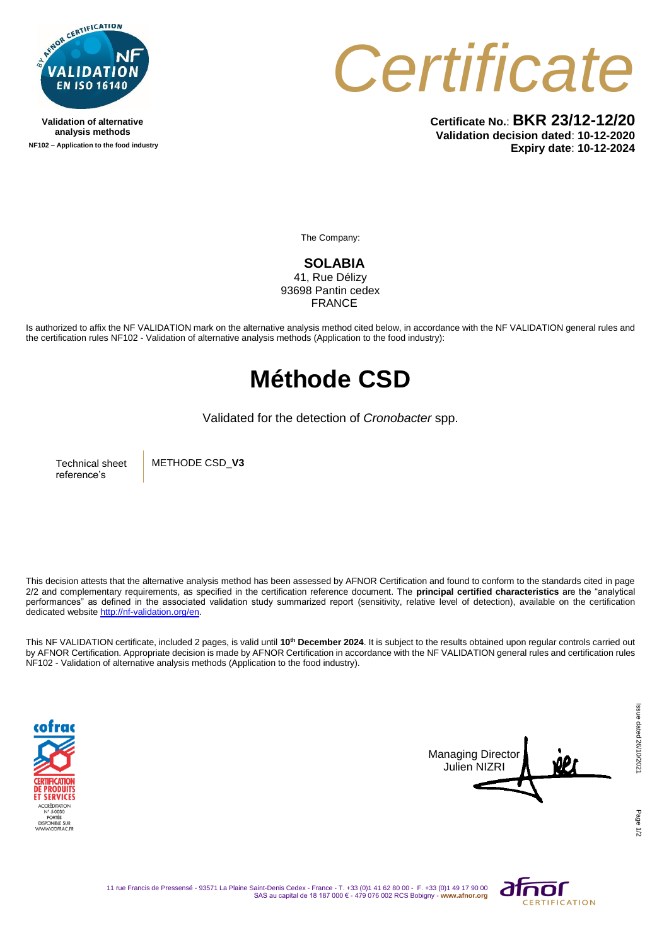

**Validation of alternative analysis methods NF102 – Application to the food industry** *Certificate*

**Certificate No.**: **BKR 23/12-12/20 Validation decision dated**: **10-12-2020 Expiry date**: **10-12-2024**

The Company:

**SOLABIA**  41, Rue Délizy 93698 Pantin cedex FRANCE

Is authorized to affix the NF VALIDATION mark on the alternative analysis method cited below, in accordance with the NF VALIDATION general rules and the certification rules NF102 - Validation of alternative analysis methods (Application to the food industry):

## **Méthode CSD**

Validated for the detection of *Cronobacter* spp.

Technical sheet reference's

METHODE CSD\_**V3**

This decision attests that the alternative analysis method has been assessed by AFNOR Certification and found to conform to the standards cited in page 2/2 and complementary requirements, as specified in the certification reference document. The **principal certified characteristics** are the "analytical performances" as defined in the associated validation study summarized report (sensitivity, relative level of detection), available on the certification dedicated websit[e http://nf-validation.org/en.](http://nf-validation.org/en)

This NF VALIDATION certificate, included 2 pages, is valid until **10th December 2024**. It is subject to the results obtained upon regular controls carried out by AFNOR Certification. Appropriate decision is made by AFNOR Certification in accordance with the NF VALIDATION general rules and certification rules NF102 - Validation of alternative analysis methods (Application to the food industry).





Page